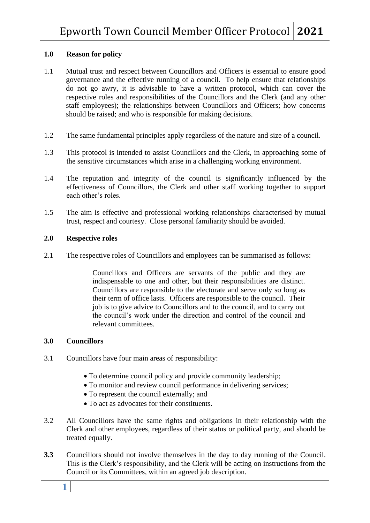# **1.0 Reason for policy**

- 1.1 Mutual trust and respect between Councillors and Officers is essential to ensure good governance and the effective running of a council. To help ensure that relationships do not go awry, it is advisable to have a written protocol, which can cover the respective roles and responsibilities of the Councillors and the Clerk (and any other staff employees); the relationships between Councillors and Officers; how concerns should be raised; and who is responsible for making decisions.
- 1.2 The same fundamental principles apply regardless of the nature and size of a council.
- 1.3 This protocol is intended to assist Councillors and the Clerk, in approaching some of the sensitive circumstances which arise in a challenging working environment.
- 1.4 The reputation and integrity of the council is significantly influenced by the effectiveness of Councillors, the Clerk and other staff working together to support each other's roles.
- 1.5 The aim is effective and professional working relationships characterised by mutual trust, respect and courtesy. Close personal familiarity should be avoided.

# **2.0 Respective roles**

2.1 The respective roles of Councillors and employees can be summarised as follows:

Councillors and Officers are servants of the public and they are indispensable to one and other, but their responsibilities are distinct. Councillors are responsible to the electorate and serve only so long as their term of office lasts. Officers are responsible to the council. Their job is to give advice to Councillors and to the council, and to carry out the council's work under the direction and control of the council and relevant committees.

# **3.0 Councillors**

- 3.1 Councillors have four main areas of responsibility:
	- To determine council policy and provide community leadership;
	- To monitor and review council performance in delivering services:
	- To represent the council externally; and
	- To act as advocates for their constituents.
- 3.2 All Councillors have the same rights and obligations in their relationship with the Clerk and other employees, regardless of their status or political party, and should be treated equally.
- **3.3** Councillors should not involve themselves in the day to day running of the Council. This is the Clerk's responsibility, and the Clerk will be acting on instructions from the Council or its Committees, within an agreed job description.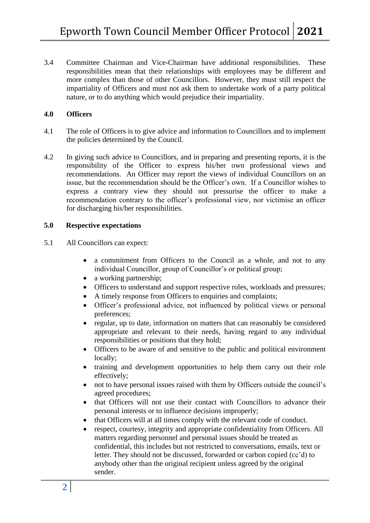3.4 Committee Chairman and Vice-Chairman have additional responsibilities. These responsibilities mean that their relationships with employees may be different and more complex than those of other Councillors. However, they must still respect the impartiality of Officers and must not ask them to undertake work of a party political nature, or to do anything which would prejudice their impartiality.

# **4.0 Officers**

- 4.1 The role of Officers is to give advice and information to Councillors and to implement the policies determined by the Council.
- 4.2 In giving such advice to Councillors, and in preparing and presenting reports, it is the responsibility of the Officer to express his/her own professional views and recommendations. An Officer may report the views of individual Councillors on an issue, but the recommendation should be the Officer's own. If a Councillor wishes to express a contrary view they should not pressurise the officer to make a recommendation contrary to the officer's professional view, nor victimise an officer for discharging his/her responsibilities.

### **5.0 Respective expectations**

- 5.1 All Councillors can expect:
	- a commitment from Officers to the Council as a whole, and not to any individual Councillor, group of Councillor's or political group;
	- a working partnership;
	- Officers to understand and support respective roles, workloads and pressures;
	- A timely response from Officers to enquiries and complaints:
	- Officer's professional advice, not influenced by political views or personal preferences;
	- regular, up to date, information on matters that can reasonably be considered appropriate and relevant to their needs, having regard to any individual responsibilities or positions that they hold;
	- Officers to be aware of and sensitive to the public and political environment locally;
	- training and development opportunities to help them carry out their role effectively;
	- not to have personal issues raised with them by Officers outside the council's agreed procedures;
	- that Officers will not use their contact with Councillors to advance their personal interests or to influence decisions improperly;
	- that Officers will at all times comply with the relevant code of conduct.
	- respect, courtesy, integrity and appropriate confidentiality from Officers. All matters regarding personnel and personal issues should be treated as confidential, this includes but not restricted to conversations, emails, text or letter. They should not be discussed, forwarded or carbon copied (cc'd) to anybody other than the original recipient unless agreed by the original sender.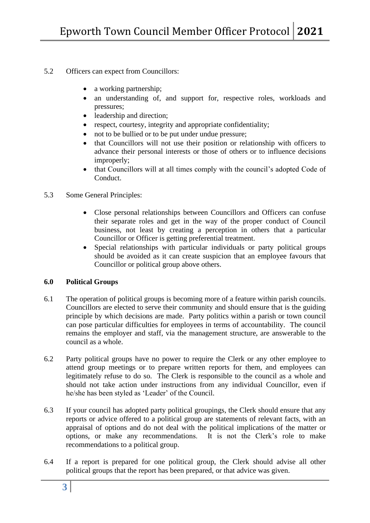- 5.2 Officers can expect from Councillors:
	- a working partnership;
	- an understanding of, and support for, respective roles, workloads and pressures;
	- leadership and direction;
	- respect, courtesy, integrity and appropriate confidentiality;
	- not to be bullied or to be put under undue pressure;
	- that Councillors will not use their position or relationship with officers to advance their personal interests or those of others or to influence decisions improperly;
	- that Councillors will at all times comply with the council's adopted Code of Conduct.
- 5.3 Some General Principles:
	- Close personal relationships between Councillors and Officers can confuse their separate roles and get in the way of the proper conduct of Council business, not least by creating a perception in others that a particular Councillor or Officer is getting preferential treatment.
	- Special relationships with particular individuals or party political groups should be avoided as it can create suspicion that an employee favours that Councillor or political group above others.

# **6.0 Political Groups**

- 6.1 The operation of political groups is becoming more of a feature within parish councils. Councillors are elected to serve their community and should ensure that is the guiding principle by which decisions are made. Party politics within a parish or town council can pose particular difficulties for employees in terms of accountability. The council remains the employer and staff, via the management structure, are answerable to the council as a whole.
- 6.2 Party political groups have no power to require the Clerk or any other employee to attend group meetings or to prepare written reports for them, and employees can legitimately refuse to do so. The Clerk is responsible to the council as a whole and should not take action under instructions from any individual Councillor, even if he/she has been styled as 'Leader' of the Council.
- 6.3 If your council has adopted party political groupings, the Clerk should ensure that any reports or advice offered to a political group are statements of relevant facts, with an appraisal of options and do not deal with the political implications of the matter or options, or make any recommendations. It is not the Clerk's role to make recommendations to a political group.
- 6.4 If a report is prepared for one political group, the Clerk should advise all other political groups that the report has been prepared, or that advice was given.